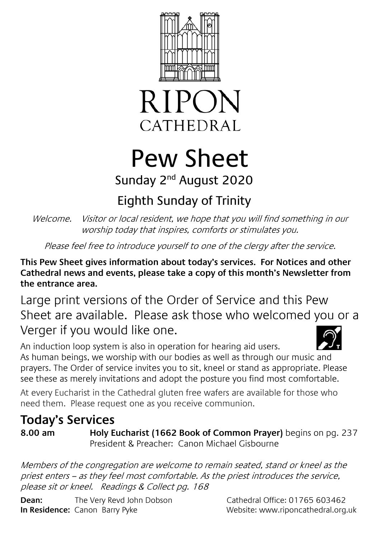



# Pew Sheet

## Sunday 2<sup>nd</sup> August 2020

## Eighth Sunday of Trinity

Welcome. Visitor or local resident, we hope that you will find something in our worship today that inspires, comforts or stimulates you.

Please feel free to introduce yourself to one of the clergy after the service.

**This Pew Sheet gives information about today's services. For Notices and other Cathedral news and events, please take a copy of this month's Newsletter from the entrance area.** 

Large print versions of the Order of Service and this Pew Sheet are available. Please ask those who welcomed you or a Verger if you would like one.

An induction loop system is also in operation for hearing aid users. As human beings, we worship with our bodies as well as through our music and prayers. The Order of service invites you to sit, kneel or stand as appropriate. Please see these as merely invitations and adopt the posture you find most comfortable.

At every Eucharist in the Cathedral gluten free wafers are available for those who need them. Please request one as you receive communion.

### **Today's Services**

**8.00 am Holy Eucharist (1662 Book of Common Prayer)** begins on pg. 237 President & Preacher: Canon Michael Gisbourne

Members of the congregation are welcome to remain seated, stand or kneel as the priest enters – as they feel most comfortable. As the priest introduces the service, please sit or kneel. Readings & Collect pg. 168

**Dean:** The Very Revd John Dobson Cathedral Office: 01765 603462 **In Residence:** Canon Barry Pyke Website: www.riponcathedral.org.uk